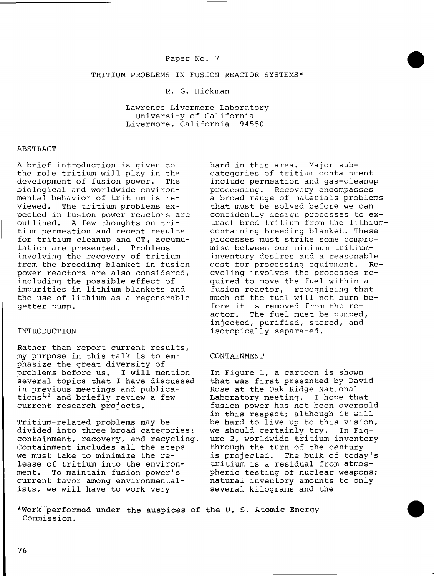## TRITIUM PROBLEMS IN FUSION REACTOR SYSTEMS\*

# R. G. Hickman

Lawrence Livermore Laboratory University of California<br>vermore, California 94550 Livermore, California

# ABSTRACT

A brief introduction is given to the role tritium will play in the<br>development of fusion power. The development of fusion power. biological and worldwide environmental behavior of tritium is re-<br>viewed. The tritium problems ex-The tritium problems expected in fusion power reactors are outlined. A few thoughts on tritium permeation and recent results for tritium cleanup and CT4 accumulation are presented. Problems involving the recovery of tritium from the breeding blanket in fusion power reactors are also considered, including the possible effect of impurities in lithium blankets and the use of lithium as a regenerable getter pump.

### INTRODUCTION

Rather than report current results, my purpose in this talk is to emphasize the great diversity of problems before us. I will mention several topics that I have discussed in previous meetings and publications<sup>1,2</sup> and briefly review a few current research projects.

Tritium-related problems may be divided into three broad categories: containment, recovery, and recycling. Containment includes all the steps we must take to minimize the release of tritium into the environment. To maintain fusion power's current favor among environmentalists, we will have to work very

hard in this area. Major subcategories of tritium containment include permeation and gas-cleanup<br>processing. Recovery encompasses Recovery encompasses a broad range of materials problems that must be solved before we can confidently design processes to extract bred tritium from the lithium containing breeding blanket. These processes must strike some compromise between our minimum tritiuminventory desires and a reasonable cost for processing equipment. Recycling involves the processes required to move the fuel within a fusion reactor, recognizing that much of the fuel will not burn before it is removed from the reactor. The fuel must be pumped, injected, purified, stored, and isotopically separated.

#### CONTAINMENT

In Figure 1, a cartoon is shown that was first presented by David Rose at the Oak Ridge National Laboratory meeting. I hope that fusion power has not been oversold in this respect; although it will be hard to live up to this vision, we should certainly try. In Figure 2, worldwide tritium inventory through the turn of the century is projected. The bulk of today's tritium is a residual from atmospheric testing of nuclear weapons; natural inventory amounts to only several kilograms and the

<sup>\*</sup>Work performed under the auspices of the U. S. Atomic Energy Commission.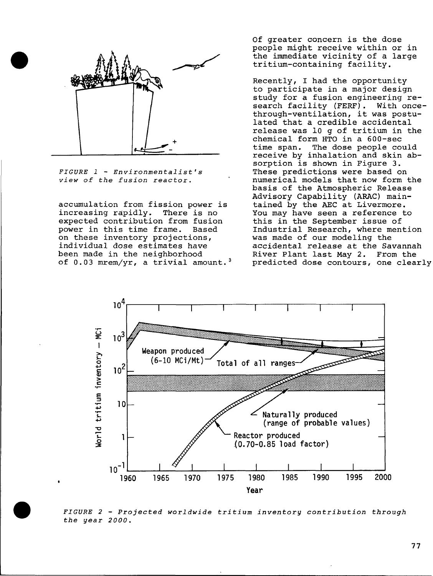

*FIGURE 1 - Environmentalist's view of the fusion reactor.* 

accumulation from fission power is<br>increasing rapidly. There is no increasing rapidly. expected contribution from fusion power in this time frame. Based on these inventory projections, individual dose estimates have been made in the neighborhood of  $0.03$  mrem/yr, a trivial amount.<sup>3</sup> Of greater concern is the dose people might receive within or in the immediate vicinity of a large tritium-containing facility.

Recently, I had the opportunity to participate in a major design study for a fusion engineering research facility (FERF). With oncethrough-ventilation, it was postulated that a credible accidental release was 10 g of tritium in the chemical form HTO in a 600-sec<br>time span. The dose people co The dose people could receive by inhalation and skin absorption is shown in Figure 3. These predictions were based on numerical models that now form the basis of the Atmospheric Release Advisory Capability (ARAC) maintained by the AEC at Livermore. You may have seen a reference to this in the September issue of Industrial Research, where mention was made of our modeling the accidental release at the Savannah River Plant last May 2. From the predicted dose contours, one clearly



*FIGURE 2 - Projected worldwide tritium inventory contribution through the year 2000.*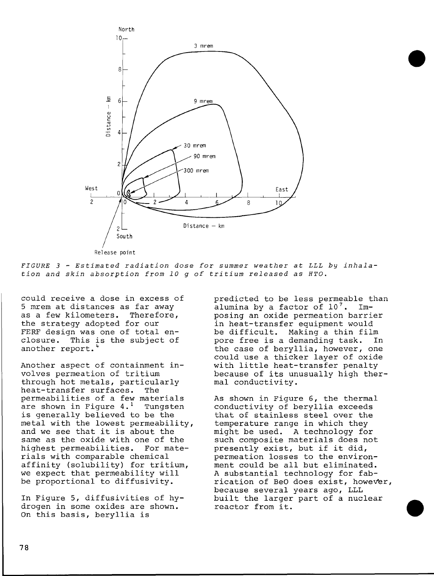

Release point

*FIGURE 3 - Estimated radiation dose for summer weather at ILL by inhalation and skin absorption from 10 g of tritium released as HTO.* 

could receive a dose in excess of 5 mrem at distances as far away as a few kilometers. Therefore, the strategy adopted for our FERF design was one of total enclosure. This is the subject of another report."

Another aspect of containment involves permeation of tritium through hot metals, particularly heat-transfer surfaces. The permeabilities of a few materials are shown in Figure  $4.^1$  Tungsten is generally believed to be the metal with the lowest permeability, and we see that it is about the same as the oxide with one of the highest permeabilities. For materials with comparable chemical affinity (solubility) for tritium, we expect that permeability will be proportional to diffusivity.

In Figure 5, diffusivities of hydrogen in some oxides are shown. On this basis, beryllia is

predicted to be less permeable than alumina by a factor of  $10^7$ . Imposing an oxide permeation barrier in heat-transfer equipment would be difficult. Making a thin film pore free is a demanding task. In the case of beryllia, however, one could use a thicker layer of oxide with little heat-transfer penalty because of its unusually high thermal conductivity.

As shown in Figure 6, the thermal conductivity of beryllia exceeds that of stainless steel over the temperature range in which they might be used. A technology for such composite materials does not presently exist, but if it did, permeation losses to the environment could be all but eliminated. A substantial technology for fabrication of BeO does exist, however, because several years ago, LLL built the larger part of a nuclear reactor from it.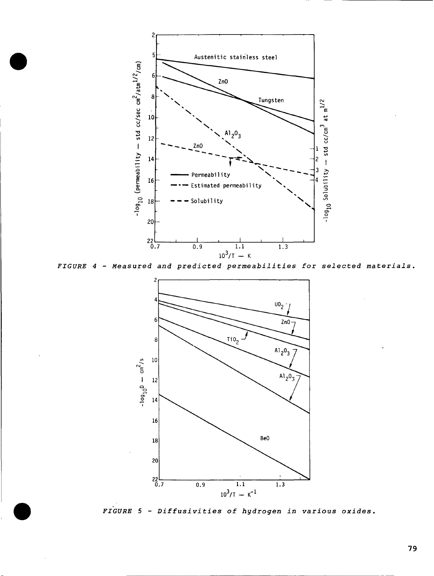

*FIGURE 4 - Measured and predicted permeabilities for selected materials.* 



*FIGURE 5 - Diffusivities of hydrogen in various oxides.*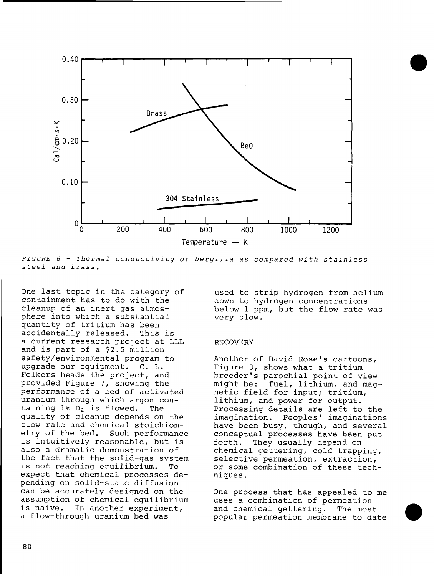

*FIGURE 6 - Thermal conductivity of beryllia as compared with stainless steel and brass.* 

One last topic in the category of containment has to do with the cleanup of an inert gas atmosphere into which a substantial quantity of tritium has been accidentally released. This is a current research project at LLL and is part of a \$2.5 million safety/environmental program to upgrade our equipment. C. L. Folkers heads the project, and provided Figure 7, showing the performance of a bed of activated uranium through which argon containing  $1\$   $D_2$  is flowed. The quality of cleanup depends on the flow rate and chemical stoichiometry of the bed. Such performance is intuitively reasonable, but is also a dramatic demonstration of the fact that the solid-gas system is not reaching equilibrium. To expect that chemical processes depending on solid-state diffusion can be accurately designed on the assumption of chemical equilibrium is naive. In another experiment, a flow-through uranium bed was

used to strip hydrogen from helium down to hydrogen concentrations below 1 ppm, but the flow rate was very slow.

## RECOVERY

Another of David Rose's cartoons. Figure 8, shows what a tritium breeder's parochial point of view might be: fuel, lithium, and magnetic field for input; tritium, lithium, and power for output. Processing details are left to the imagination. Peoples' imaginations have been busy, though, and several conceptual processes have been put forth. They usually depend on chemical gettering, cold trapping, selective permeation, extraction, or some combination of these techniques .

One process that has appealed to me uses a combination of permeation and chemical gettering. The most popular permeation membrane to date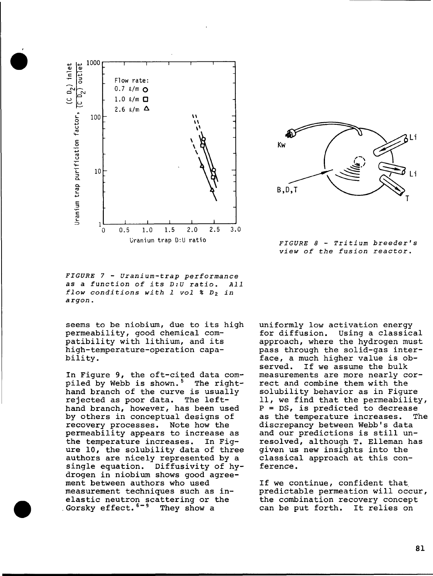

Kw Li B,D,T

*FIGURE 8 - Tritium breeder's view of the fusion reactor.* 

*FIGURE 7 - Uranium-trap performance as a function of its D:U ratio. All flow conditions with 1 vol % Dz in argon.* 

seems to be niobium, due to its high permeability, good chemical compatibility with lithium, and its high-temperature-operation capability.

In Figure 9, the oft-cited data compiled by Webb is shown.<sup>5</sup> The righthand branch of the curve is usually<br>rejected as poor data. The leftrejected as poor data. hand branch, however, has been used by others in conceptual designs of recovery processes. Note how the permeability appears to increase as the temperature increases. In Figure 10, the solubility data of three authors are nicely represented by a single equation. Diffusivity of hydrogen in niobium shows good agreement between authors who used measurement techniques such as inelastic neutron scattering or the Gorsky effect.<sup>6-9</sup> They show a

uniformly low activation energy for diffusion. Using a classical approach, where the hydrogen must pass through the solid-gas interface, a much higher value is observed. If we assume the bulk measurements are more nearly correct and combine them with the solubility behavior as in Figure 11, we find that the permeability,  $P = DS$ , is predicted to decrease as the temperature increases. The discrepancy between Webb's data and our predictions is still unresolved, although T. Elleman has given us new insights into the classical approach at this conference.

If we continue, confident that predictable permeation will occur, the combination recovery concept can be put forth. It relies on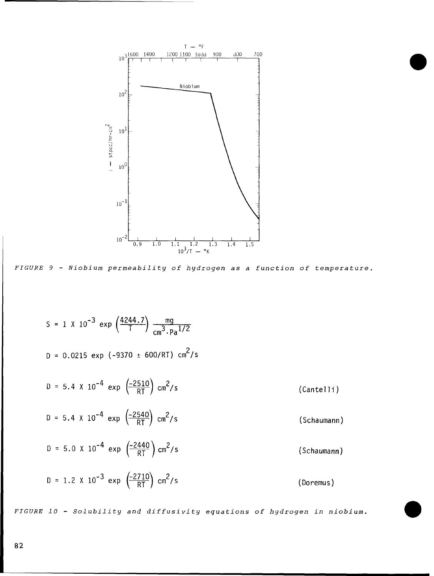

*FIGURE 9 - Niobium permeability of hydrogen as a function of temperature.* 

S = 1 X 10<sup>-3</sup> exp  $\left(\frac{4244.7}{1}\right)$   $\frac{mg}{3}$  $\mathsf{cm}^\mathsf{3}\!\cdot\!\mathsf{Pa}^{\mathsf{1}/\mathsf{2}}$  $D = 0.0215 \exp(-9370 \pm 600/RT) \text{ cm}^2/\text{s}$  $D = 5.4 \times 10^{-4}$  exp  $\left(\frac{-2510}{RT}\right)$  cm<sup>2</sup>/s D = 5.4 X 10<sup>-4</sup> exp  $\left(\frac{-2540}{RT}\right)$  cm<sup>2</sup>/s D = 5.0 X 10<sup>-4</sup> exp  $\left(\frac{-2440}{RT}\right)$  cm<sup>2</sup>/s D = 1.2 X 10<sup>-3</sup> exp  $\left(\frac{-2710}{pT}\right)$  ( **\ RT ;**   $cm^2$ /s (Cantelli) (Schaumann) (Schaumann) (Doremus)

*FIGURE 10 - Solubility and diffusivity equations of hydrogen in niobium.*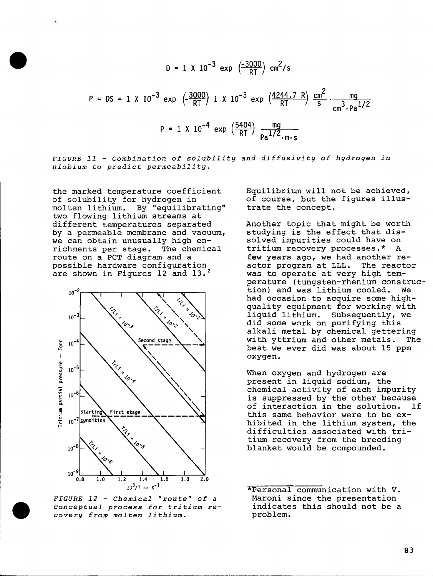$$
D = 1 \times 10^{-3} \exp\left(\frac{-3000}{RT}\right) \text{ cm}^2/\text{s}
$$
  

$$
P = DS = 1 \times 10^{-3} \exp\left(\frac{-3000}{RT}\right) 1 \times 10^{-3} \exp\left(\frac{4244.7 \text{ R}}{RT}\right) \frac{\text{cm}^2}{\text{s}} \cdot \frac{\text{mg}}{\text{cm}^3 \cdot \text{Pa}^{1/2}}
$$
  

$$
P = 1 \times 10^{-4} \exp\left(\frac{5404}{RT}\right) \frac{\text{mg}}{\text{Pa}^{1/2} \cdot \text{m} \cdot \text{s}}
$$

*FIGURE 11 - Combination of solubility and diffusivity of hydrogen in niobium to predict permeability.* 

the marked temperature coefficient of solubility for hydrogen in<br>molten lithium. By "equilibr By "equilibrating" two flowing lithium streams at different temperatures separated by a permeable membrane and vacuum, we can obtain unusually high enrichments per stage. The chemical route on a PCT diagram and a possible hardware configuration are shown in Figures 12 and 13.^



*FIGURE 12 - Chemical "route" of a conceptual process for tritium recovery from molten lithium.* 

Equilibrium will not be achieved, of course, but the figures illustrate the concept.

Another topic that might be worth studying is the effect that dissolved impurities could have on tritium recovery processes.\* A few years ago, we had another reactor program at LLL. The reactor was to operate at very high temperature (tungsten-rhenium construction) and was lithium cooled. We had occasion to acquire some highquality equipment for working with liquid lithium. Subsequently, we did some work on purifying this alkali metal by chemical gettering with yttrium and other metals. The best we ever did was about 15 ppm oxygen.

When oxygen and hydrogen are present in liquid sodium, the chemical activity of each impurity is suppressed by the other because of interaction in the solution. this same behavior were to be exhibited in the lithium system, the difficulties associated with tritium recovery from the breeding blanket would be compounded.

\*Personal communication with V. Maroni since the presentation indicates this should not be a problem.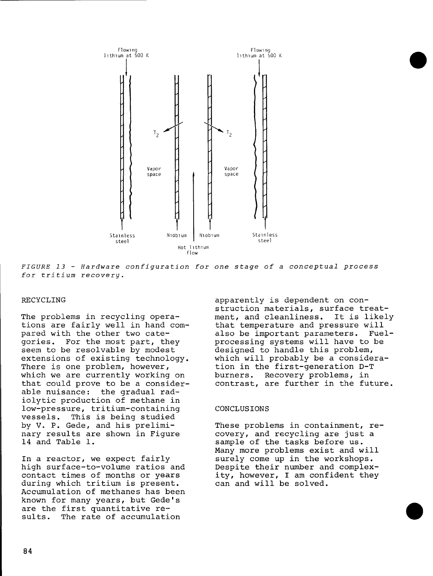

*FIGURE 13 - Hardware configuration for one stage of a conceptual process for tritium recovery.* 

## RECYCLING

The problems in recycling operations are fairly well in hand compared with the other two categories. For the most part, they seem to be resolvable by modest extensions of existing technology. There is one problem, however, which we are currently working on that could prove to be a considerable nuisance: the gradual radiolytic production of methane in low-pressure, tritium-containing vessels. This is being studied by V. P. Cede, and his preliminary results are shown in Figure 14 and Table 1.

In a reactor, we expect fairly high surface-to-volume ratios and contact times of months or years during which tritium is present. Accumulation of methanes has been known for many years, but Cede's are the first quantitative results. The rate of accumulation

apparently is dependent on construction materials, surface treatment, and cleanliness. It is likely that temperature and pressure will also be important parameters. Fuelprocessing systems will have to be designed to handle this problem, which will probably be a consideration in the first-generation D-T burners. Recovery problems, in contrast, are further in the future.

## CONCLUSIONS

These problems in containment, recovery, and recycling are just a sample of the tasks before us. Many more problems exist and will surely come up in the workshops. Despite their number and complexity, however, I am confident they can and will be solved.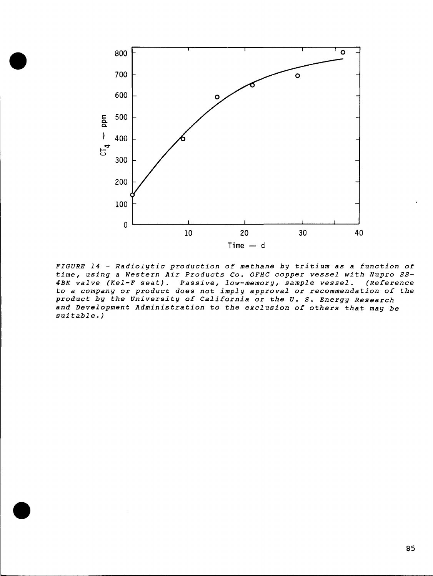

*FIGURE 14 - Radiolytic production of methane by tritium as a function of time, using a Western Air Products Co. OFHC copper vessel with Nupro SS-4BK valve (Kel-F seat). Passive, low-memory, sample vessel. (Reference to a company or product does not imply approval or recommendation of the product by the University of California or the U. S. Energy Research and Development Administration to the exclusion of others that may be suitable. )*